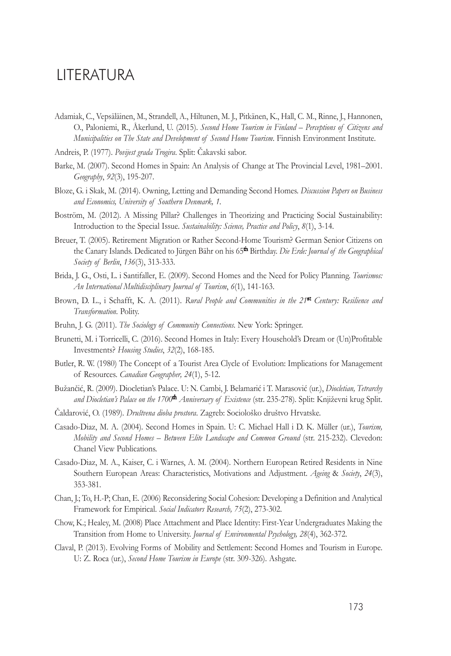## **LITERATURA**

- Adamiak, C., Vepsäläinen, M., Strandell, A., Hiltunen, M. J., Pitkänen, K., Hall, C. M., Rinne, J., Hannonen, O., Paloniemi, R., Åkerlund, U. (2015). *Second Home Tourism in Finland – Perceptions of Citizens and Municipalities on The State and Development of Second Home Tourism*. Finnish Environment Institute.
- Andreis, P. (1977). *Povijest grada Trogira*. Split: Čakavski sabor.
- Barke, M. (2007). Second Homes in Spain: An Analysis of Change at The Provincial Level, 1981–2001. *Geography*, *92*(3), 195-207.
- Bloze, G. i Skak, M. (2014). Owning, Letting and Demanding Second Homes. *Discussion Papers on Business and Economics, University of Southern Denmark, 1.*
- Boström, M. (2012). A Missing Pillar? Challenges in Theorizing and Practicing Social Sustainability: Introduction to the Special Issue. *Sustainability: Science, Practice and Policy*, *8*(1), 3-14.
- Breuer, T. (2005). Retirement Migration or Rather Second-Home Tourism? German Senior Citizens on the Canary Islands. Dedicated to Jürgen Bähr on his 65<sup>th</sup> Birthday. *Die Erde: Journal of the Geographical Society of Berlin*, *136*(3), 313-333.
- Brida, J. G., Osti, L. i Santifaller, E. (2009). Second Homes and the Need for Policy Planning. *Tourismos: An International Multidisciplinary Journal of Tourism*, *6*(1), 141-163.
- Brown, D. L., i Schafft, K. A. (2011). *Rural People and Communities in the 21*st *Century: Resilience and Transformation*. Polity.
- Bruhn, J. G. (2011). *The Sociology of Community Connections*. New York: Springer.
- Brunetti, M. i Torricelli, C. (2016). Second Homes in Italy: Every Household's Dream or (Un)Profitable Investments? *Housing Studies*, *32*(2), 168-185.
- Butler, R. W. (1980) The Concept of a Tourist Area Clycle of Evolution: Implications for Management of Resources. *Canadian Geographer, 24*(1), 5-12.
- Bužančić, R. (2009). Diocletian's Palace. U: N. Cambi, J. Belamarić i T. Marasović (ur.), *Diocletian, Tetrarchy and Diocletian's Palace on the 1700*th *Anniversary of Existence* (str. 235-278). Split: Književni krug Split.
- Čaldarović, O. (1989). *Društvena dioba prostora*. Zagreb: Sociološko društvo Hrvatske.
- Casado-Diaz, M. A. (2004). Second Homes in Spain. U: C. Michael Hall i D. K. Müller (ur.), *Tourism, Mobility and Second Homes – Between Elite Landscape and Common Ground* (str. 215-232). Clevedon: Chanel View Publications.
- Casado-Diaz, M. A., Kaiser, C. i Warnes, A. M. (2004). Northern European Retired Residents in Nine Southern European Areas: Characteristics, Motivations and Adjustment. *Ageing* & *Society*, *24*(3), 353-381.
- Chan, J.; To, H.-P; Chan, E. (2006) Reconsidering Social Cohesion: Developing a Definition and Analytical Framework for Empirical. *Social Indicators Research, 75*(2), 273-302.
- Chow, K.; Healey, M. (2008) Place Attachment and Place Identity: First-Year Undergraduates Making the Transition from Home to University. *Journal of Environmental Psychology, 28*(4), 362-372.
- Claval, P. (2013). Evolving Forms of Mobility and Settlement: Second Homes and Tourism in Europe. U: Z. Roca (ur.), *Second Home Tourism in Europe* (str. 309-326). Ashgate.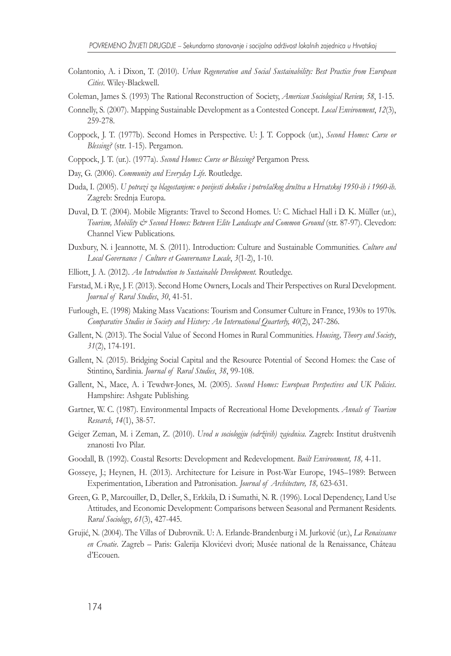- Colantonio, A. i Dixon, T. (2010). *Urban Regeneration and Social Sustainability: Best Practice from European Cities*. Wiley-Blackwell.
- Coleman, James S. (1993) The Rational Reconstruction of Society, *American Sociological Review, 58*, 1-15.
- Connelly, S. (2007). Mapping Sustainable Development as a Contested Concept. *Local Environment*, *12*(3), 259-278.
- Coppock, J. T. (1977b). Second Homes in Perspective. U: J. T. Coppock (ur.), *Second Homes: Curse or Blessing?* (str. 1-15). Pergamon.
- Coppock, J. T. (ur.). (1977a). *Second Homes: Curse or Blessing?* Pergamon Press.
- Day, G. (2006). *Community and Everyday Life*. Routledge.
- Duda, I. (2005). *U potrazi za blagostanjem: o povijesti dokolice i potrošačkog društva u Hrvatskoj 1950-ih i 1960-ih*. Zagreb: Srednja Europa.
- Duval, D. T. (2004). Mobile Migrants: Travel to Second Homes. U: C. Michael Hall i D. K. Müller (ur.), *Tourism, Mobility & Second Homes: Between Elite Landscape and Common Ground* (str. 87-97). Clevedon: Channel View Publications.
- Duxbury, N. i Jeannotte, M. S. (2011). Introduction: Culture and Sustainable Communities. *Culture and Local Governance / Culture et Gouvernance Locale*, *3*(1-2), 1-10.
- Elliott, J. A. (2012). *An Introduction to Sustainable Development*. Routledge.
- Farstad, M. i Rye, J. F. (2013). Second Home Owners, Locals and Their Perspectives on Rural Development. *Journal of Rural Studies*, *30*, 41-51.
- Furlough, E. (1998) Making Mass Vacations: Tourism and Consumer Culture in France, 1930s to 1970s. *Comparative Studies in Society and History: An International Quarterly, 40*(2), 247-286.
- Gallent, N. (2013). The Social Value of Second Homes in Rural Communities. *Housing, Theory and Society*, *31*(2), 174-191.
- Gallent, N. (2015). Bridging Social Capital and the Resource Potential of Second Homes: the Case of Stintino, Sardinia. *Journal of Rural Studies*, *38*, 99-108.
- Gallent, N., Mace, A. i Tewdwr-Jones, M. (2005). *Second Homes: European Perspectives and UK Policies*. Hampshire: Ashgate Publishing.
- Gartner, W. C. (1987). Environmental Impacts of Recreational Home Developments. *Annals of Tourism Research*, *14*(1), 38-57.
- Geiger Zeman, M. i Zeman, Z. (2010). *Uvod u sociologiju (održivih) zajednica*. Zagreb: Institut društvenih znanosti Ivo Pilar.
- Goodall, B. (1992). Coastal Resorts: Development and Redevelopment. *Built Environment, 18,* 4-11.
- Gosseye, J.; Heynen, H. (2013). Architecture for Leisure in Post-War Europe, 1945–1989: Between Experimentation, Liberation and Patronisation. *Journal of Architecture, 18,* 623-631.
- Green, G. P., Marcouiller, D., Deller, S., Erkkila, D. i Sumathi, N. R. (1996). Local Dependency, Land Use Attitudes, and Economic Development: Comparisons between Seasonal and Permanent Residents. *Rural Sociology*, *61*(3), 427-445.
- Grujić, N. (2004). The Villas of Dubrovnik. U: A. Erlande-Brandenburg i M. Jurković (ur.), *La Renaissance en Croatie*. Zagreb – Paris: Galerija Klovićevi dvori; Musée national de la Renaissance, Château d'Ecouen.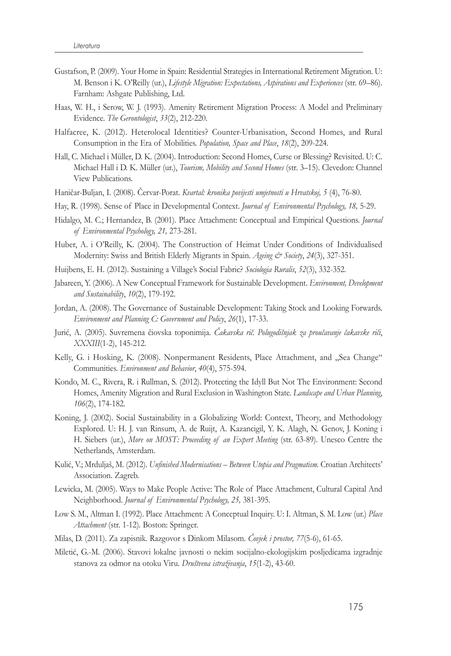- Gustafson, P. (2009). Your Home in Spain: Residential Strategies in International Retirement Migration. U: M. Benson i K. O'Reilly (ur.), *Lifestyle Migration: Expectations, Aspirations and Experiences* (str. 69–86). Farnham: Ashgate Publishing, Ltd.
- Haas, W. H., i Serow, W. J. (1993). Amenity Retirement Migration Process: A Model and Preliminary Evidence. *The Gerontologist*, *33*(2), 212-220.
- Halfacree, K. (2012). Heterolocal Identities? Counter-Urbanisation, Second Homes, and Rural Consumption in the Era of Mobilities. *Population, Space and Place*, *18*(2), 209-224.
- Hall, C. Michael i Müller, D. K. (2004). Introduction: Second Homes, Curse or Blessing? Revisited. U: C. Michael Hall i D. K. Müller (ur.), *Tourism, Mobility and Second Homes* (str. 3–15). Clevedon: Channel View Publications.
- Haničar-Buljan, I. (2008). Červar-Porat. *Kvartal: kronika povijesti umjetnosti u Hrvatskoj, 5* (4), 76-80.
- Hay, R. (1998). Sense of Place in Developmental Context. *Journal of Environmental Psychology, 18,* 5-29.
- Hidalgo, M. C.; Hernandez, B. (2001). Place Attachment: Conceptual and Empirical Questions. *Journal of Environmental Psychology, 21,* 273-281.
- Huber, A. i O'Reilly, K. (2004). The Construction of Heimat Under Conditions of Individualised Modernity: Swiss and British Elderly Migrants in Spain. *Ageing & Society*, *24*(3), 327-351.
- Huijbens, E. H. (2012). Sustaining a Village's Social Fabric? *Sociologia Ruralis*, *52*(3), 332-352.
- Jabareen, Y. (2006). A New Conceptual Framework for Sustainable Development. *Environment, Development and Sustainability*, *10*(2), 179-192.
- Jordan, A. (2008). The Governance of Sustainable Development: Taking Stock and Looking Forwards. *Environment and Planning C: Government and Policy*, *26*(1), 17-33.
- Jurić, A. (2005). Suvremena čiovska toponimija. *Čakavska rič. Polugodišnjak za proučavanje čakavske riči*, *XXXIII*(1-2), 145-212.
- Kelly, G. i Hosking, K. (2008). Nonpermanent Residents, Place Attachment, and "Sea Change" Communities. *Environment and Behavior*, *40*(4), 575-594.
- Kondo, M. C., Rivera, R. i Rullman, S. (2012). Protecting the Idyll But Not The Environment: Second Homes, Amenity Migration and Rural Exclusion in Washington State. *Landscape and Urban Planning*, *106*(2), 174-182.
- Koning, J. (2002). Social Sustainability in a Globalizing World: Context, Theory, and Methodology Explored. U: H. J. van Rinsum, A. de Ruijt, A. Kazancigil, Y. K. Alagh, N. Genov, J. Koning i H. Siebers (ur.), *More on MOST: Proceeding of an Expert Meeting* (str. 63-89). Unesco Centre the Netherlands, Amsterdam.
- Kulić, V.; Mrduljaš, M. (2012). *Unfinished Modernisations Between Utopia and Pragmatism.* Croatian Architects' Association. Zagreb.
- Lewicka, M. (2005). Ways to Make People Active: The Role of Place Attachment, Cultural Capital And Neighborhood. *Journal of Environmental Psychology, 25,* 381-395.
- Low S. M., Altman I. (1992). Place Attachment: A Conceptual Inquiry. U: I. Altman, S. M. Low (ur.) *Place Attachment* (str. 1-12)*.* Boston: Springer.
- Milas, D. (2011). Za zapisnik. Razgovor s Dinkom Milasom. *Čovjek i prostor, 77*(5-6), 61-65.
- Miletić, G.-M. (2006). Stavovi lokalne javnosti o nekim socijalno-ekologijskim posljedicama izgradnje stanova za odmor na otoku Viru. *Društvena istraživanja*, *15*(1-2), 43-60.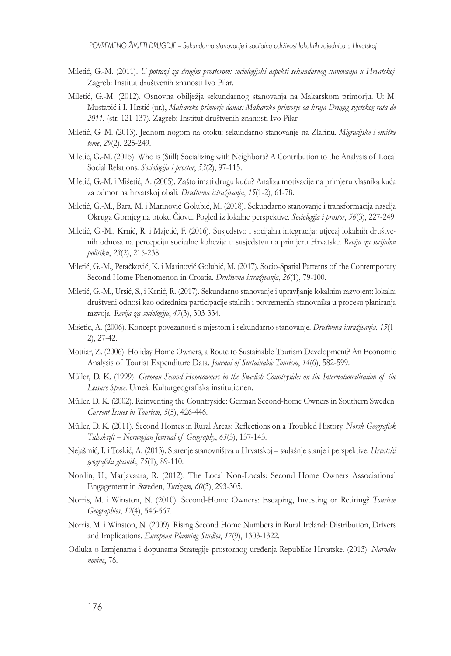- Miletić, G.-M. (2011). *U potrazi za drugim prostorom: sociologijski aspekti sekundarnog stanovanja u Hrvatskoj*. Zagreb: Institut društvenih znanosti Ivo Pilar.
- Miletić, G.-M. (2012). Osnovna obilježja sekundarnog stanovanja na Makarskom primorju. U: M. Mustapić i I. Hrstić (ur.), *Makarsko primorje danas: Makarsko primorje od kraja Drugog svjetskog rata do 2011.* (str. 121-137). Zagreb: Institut društvenih znanosti Ivo Pilar.
- Miletić, G.-M. (2013). Jednom nogom na otoku: sekundarno stanovanje na Zlarinu. *Migracijske i etničke teme*, *29*(2), 225-249.
- Miletić, G.-M. (2015). Who is (Still) Socializing with Neighbors? A Contribution to the Analysis of Local Social Relations. *Sociologija i prostor*, *53*(2), 97-115.
- Miletić, G.-M. i Mišetić, A. (2005). Zašto imati drugu kuću? Analiza motivacije na primjeru vlasnika kuća za odmor na hrvatskoj obali. *Društvena istraživanja*, *15*(1-2), 61-78.
- Miletić, G.-M., Bara, M. i Marinović Golubić, M. (2018). Sekundarno stanovanje i transformacija naselja Okruga Gornjeg na otoku Čiovu. Pogled iz lokalne perspektive. *Sociologija i prostor*, *56*(3), 227-249.
- Miletić, G.-M., Krnić, R. i Majetić, F. (2016). Susjedstvo i socijalna integracija: utjecaj lokalnih društvenih odnosa na percepciju socijalne kohezije u susjedstvu na primjeru Hrvatske. *Revija za socijalnu politiku*, *23*(2), 215-238.
- Miletić, G.-M., Peračković, K. i Marinović Golubić, M. (2017). Socio-Spatial Patterns of the Contemporary Second Home Phenomenon in Croatia. *Društvena istraživanja*, *26*(1), 79-100.
- Miletić, G.-M., Ursić, S., i Krnić, R. (2017). Sekundarno stanovanje i upravljanje lokalnim razvojem: lokalni društveni odnosi kao odrednica participacije stalnih i povremenih stanovnika u procesu planiranja razvoja. *Revija za sociologiju*, *47*(3), 303-334.
- Mišetić, A. (2006). Koncept povezanosti s mjestom i sekundarno stanovanje. *Društvena istraživanja*, *15*(1- 2), 27-42.
- Mottiar, Z. (2006). Holiday Home Owners, a Route to Sustainable Tourism Development? An Economic Analysis of Tourist Expenditure Data. *Journal of Sustainable Tourism*, *14*(6), 582-599.
- Müller, D. K. (1999). *German Second Homeowners in the Swedish Countryside: on the Internationalisation of the Leisure Space*. Umeå: Kulturgeografiska institutionen.
- Müller, D. K. (2002). Reinventing the Countryside: German Second-home Owners in Southern Sweden. *Current Issues in Tourism*, *5*(5), 426-446.
- Müller, D. K. (2011). Second Homes in Rural Areas: Reflections on a Troubled History. *Norsk Geografisk Tidsskrift – Norwegian Journal of Geography*, *65*(3), 137-143.
- Nejašmić, I. i Toskić, A. (2013). Starenje stanovništva u Hrvatskoj sadašnje stanje i perspektive. *Hrvatski geografski glasnik*, *75*(1), 89-110.
- Nordin, U.; Marjavaara, R. (2012). The Local Non-Locals: Second Home Owners Associational Engagement in Sweden, *Turizam, 60*(3), 293-305.
- Norris, M. i Winston, N. (2010). Second-Home Owners: Escaping, Investing or Retiring? *Tourism Geographies*, *12*(4), 546-567.
- Norris, M. i Winston, N. (2009). Rising Second Home Numbers in Rural Ireland: Distribution, Drivers and Implications. *European Planning Studies*, *17*(9), 1303-1322.
- Odluka o Izmjenama i dopunama Strategije prostornog uređenja Republike Hrvatske. (2013). *Narodne novine*, 76.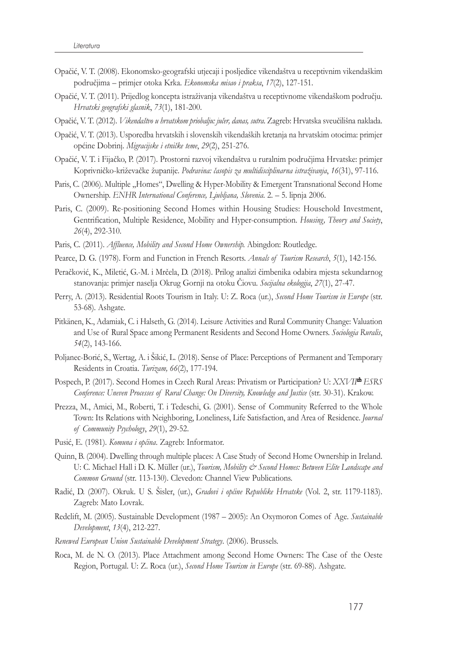- Opačić, V. T. (2008). Ekonomsko-geografski utjecaji i posljedice vikendaštva u receptivnim vikendaškim područjima – primjer otoka Krka. *Ekonomska misao i praksa*, *17*(2), 127-151.
- Opačić, V. T. (2011). Prijedlog koncepta istraživanja vikendaštva u receptivnome vikendaškom području. *Hrvatski geografski glasnik*, *73*(1), 181-200.
- Opačić, V. T. (2012). *Vikendaštvo u hrvatskom priobalju: jučer, danas, sutra*. Zagreb: Hrvatska sveučilišna naklada.
- Opačić, V. T. (2013). Usporedba hrvatskih i slovenskih vikendaških kretanja na hrvatskim otocima: primjer općine Dobrinj. *Migracijske i etničke teme*, *29*(2), 251-276.
- Opačić, V. T. i Fijačko, P. (2017). Prostorni razvoj vikendaštva u ruralnim područjima Hrvatske: primjer Koprivničko-križevačke županije. *Podravina: časopis za multidisciplinarna istraživanja*, *16*(31), 97-116.
- Paris, C. (2006). Multiple "Homes", Dwelling & Hyper-Mobility & Emergent Transnational Second Home Ownership. *ENHR International Conference, Ljubljana, Slovenia*. 2. – 5. lipnja 2006.
- Paris, C. (2009). Re-positioning Second Homes within Housing Studies: Household Investment, Gentrification, Multiple Residence, Mobility and Hyper-consumption. *Housing, Theory and Society*, *26*(4), 292-310.
- Paris, C. (2011). *Affluence, Mobility and Second Home Ownership.* Abingdon: Routledge.
- Pearce, D. G. (1978). Form and Function in French Resorts. *Annals of Tourism Research*, *5*(1), 142-156.
- Peračković, K., Miletić, G.-M. i Mrčela, D. (2018). Prilog analizi čimbenika odabira mjesta sekundarnog stanovanja: primjer naselja Okrug Gornji na otoku Čiovu. *Socijalna ekologija*, *27*(1), 27-47.
- Perry, A. (2013). Residential Roots Tourism in Italy. U: Z. Roca (ur.), *Second Home Tourism in Europe* (str. 53-68). Ashgate.
- Pitkänen, K., Adamiak, C. i Halseth, G. (2014). Leisure Activities and Rural Community Change: Valuation and Use of Rural Space among Permanent Residents and Second Home Owners. *Sociologia Ruralis*, *54*(2), 143-166.
- Poljanec-Borić, S., Wertag, A. i Šikić, L. (2018). Sense of Place: Perceptions of Permanent and Temporary Residents in Croatia. *Turizam, 66*(2), 177-194.
- Pospech, P. (2017). Second Homes in Czech Rural Areas: Privatism or Participation? U: *XXVII*th *ESRS Conference: Uneven Processes of Rural Change: On Diversity, Knowledge and Justice* (str. 30-31). Krakow.
- Prezza, M., Amici, M., Roberti, T. i Tedeschi, G. (2001). Sense of Community Referred to the Whole Town: Its Relations with Neighboring, Loneliness, Life Satisfaction, and Area of Residence. *Journal of Community Psychology*, *29*(1), 29-52.
- Pusić, E. (1981). *Komuna i općina*. Zagreb: Informator.
- Quinn, B. (2004). Dwelling through multiple places: A Case Study of Second Home Ownership in Ireland. U: C. Michael Hall i D. K. Müller (ur.), *Tourism, Mobility & Second Homes: Between Elite Landscape and Common Ground* (str. 113-130). Clevedon: Channel View Publications.
- Radić, D. (2007). Okruk. U S. Šisler, (ur.), *Gradovi i općine Republike Hrvatske* (Vol. 2, str. 1179-1183). Zagreb: Mato Lovrak.
- Redclift, M. (2005). Sustainable Development (1987 2005): An Oxymoron Comes of Age. *Sustainable Development*, *13*(4), 212-227.
- *Renewed European Union Sustainable Development Strategy*. (2006). Brussels.
- Roca, M. de N. O. (2013). Place Attachment among Second Home Owners: The Case of the Oeste Region, Portugal. U: Z. Roca (ur.), *Second Home Tourism in Europe* (str. 69-88). Ashgate.